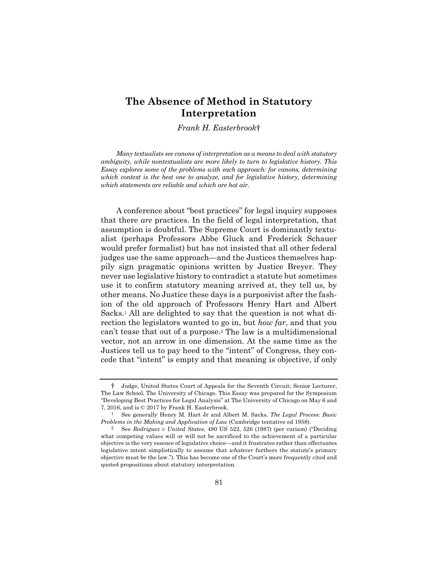## **The Absence of Method in Statutory Interpretation**

*Frank H. Easterbrook*†

*Many textualists see canons of interpretation as a means to deal with statutory ambiguity, while nontextualists are more likely to turn to legislative history. This Essay explores some of the problems with each approach: for canons, determining which context is the best one to analyze, and for legislative history, determining which statements are reliable and which are hot air.* 

A conference about "best practices" for legal inquiry supposes that there *are* practices. In the field of legal interpretation, that assumption is doubtful. The Supreme Court is dominantly textualist (perhaps Professors Abbe Gluck and Frederick Schauer would prefer formalist) but has not insisted that all other federal judges use the same approach—and the Justices themselves happily sign pragmatic opinions written by Justice Breyer. They never use legislative history to contradict a statute but sometimes use it to confirm statutory meaning arrived at, they tell us, by other means. No Justice these days is a purposivist after the fashion of the old approach of Professors Henry Hart and Albert Sacks.1 All are delighted to say that the question is not what direction the legislators wanted to go in, but *how far*, and that you can't tease that out of a purpose.2 The law is a multidimensional vector, not an arrow in one dimension. At the same time as the Justices tell us to pay heed to the "intent" of Congress, they concede that "intent" is empty and that meaning is objective, if only

 <sup>†</sup> Judge, United States Court of Appeals for the Seventh Circuit; Senior Lecturer, The Law School, The University of Chicago. This Essay was prepared for the Symposium "Developing Best Practices for Legal Analysis" at The University of Chicago on May 6 and 7, 2016, and is © 2017 by Frank H. Easterbrook.

<sup>1</sup> See generally Henry M. Hart Jr and Albert M. Sacks, *The Legal Process: Basic Problems in the Making and Application of Law* (Cambridge tentative ed 1958).

<sup>2</sup> See *Rodriguez v United States*, 480 US 522, 526 (1987) (per curiam) ("Deciding what competing values will or will not be sacrificed to the achievement of a particular objective is the very essence of legislative choice—and it frustrates rather than effectuates legislative intent simplistically to assume that *whatever* furthers the statute's primary objective must be the law."). This has become one of the Court's more frequently cited and quoted propositions about statutory interpretation.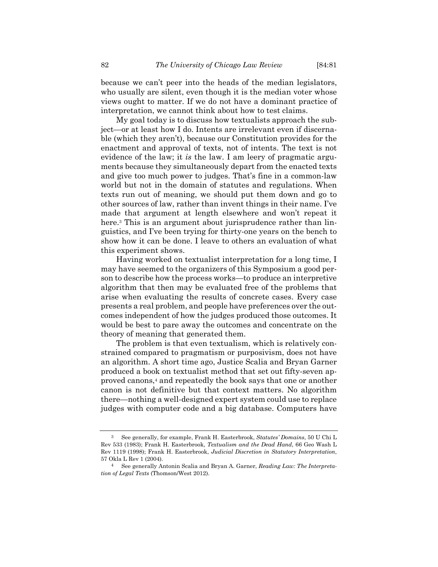because we can't peer into the heads of the median legislators, who usually are silent, even though it is the median voter whose views ought to matter. If we do not have a dominant practice of interpretation, we cannot think about how to test claims.

My goal today is to discuss how textualists approach the subject—or at least how I do. Intents are irrelevant even if discernable (which they aren't), because our Constitution provides for the enactment and approval of texts, not of intents. The text is not evidence of the law; it *is* the law. I am leery of pragmatic arguments because they simultaneously depart from the enacted texts and give too much power to judges. That's fine in a common-law world but not in the domain of statutes and regulations. When texts run out of meaning, we should put them down and go to other sources of law, rather than invent things in their name. I've made that argument at length elsewhere and won't repeat it here.<sup>3</sup> This is an argument about jurisprudence rather than linguistics, and I've been trying for thirty-one years on the bench to show how it can be done. I leave to others an evaluation of what this experiment shows.

Having worked on textualist interpretation for a long time, I may have seemed to the organizers of this Symposium a good person to describe how the process works—to produce an interpretive algorithm that then may be evaluated free of the problems that arise when evaluating the results of concrete cases. Every case presents a real problem, and people have preferences over the outcomes independent of how the judges produced those outcomes. It would be best to pare away the outcomes and concentrate on the theory of meaning that generated them.

The problem is that even textualism, which is relatively constrained compared to pragmatism or purposivism, does not have an algorithm. A short time ago, Justice Scalia and Bryan Garner produced a book on textualist method that set out fifty-seven approved canons,4 and repeatedly the book says that one or another canon is not definitive but that context matters. No algorithm there—nothing a well-designed expert system could use to replace judges with computer code and a big database. Computers have

<sup>3</sup> See generally, for example, Frank H. Easterbrook, *Statutes' Domains*, 50 U Chi L Rev 533 (1983); Frank H. Easterbrook, *Textualism and the Dead Hand*, 66 Geo Wash L Rev 1119 (1998); Frank H. Easterbrook, *Judicial Discretion in Statutory Interpretation*, 57 Okla L Rev 1 (2004).

<sup>4</sup> See generally Antonin Scalia and Bryan A. Garner, *Reading Law: The Interpretation of Legal Texts* (Thomson/West 2012).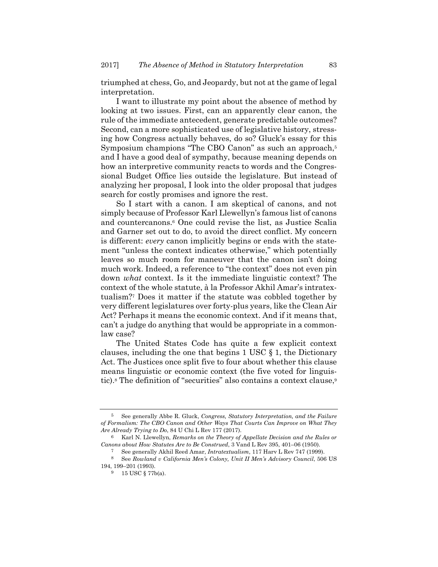triumphed at chess, Go, and Jeopardy, but not at the game of legal interpretation.

I want to illustrate my point about the absence of method by looking at two issues. First, can an apparently clear canon, the rule of the immediate antecedent, generate predictable outcomes? Second, can a more sophisticated use of legislative history, stressing how Congress actually behaves, do so? Gluck's essay for this Symposium champions "The CBO Canon" as such an approach,<sup>5</sup> and I have a good deal of sympathy, because meaning depends on how an interpretive community reacts to words and the Congressional Budget Office lies outside the legislature. But instead of analyzing her proposal, I look into the older proposal that judges search for costly promises and ignore the rest.

So I start with a canon. I am skeptical of canons, and not simply because of Professor Karl Llewellyn's famous list of canons and countercanons.6 One could revise the list, as Justice Scalia and Garner set out to do, to avoid the direct conflict. My concern is different: *every* canon implicitly begins or ends with the statement "unless the context indicates otherwise," which potentially leaves so much room for maneuver that the canon isn't doing much work. Indeed, a reference to "the context" does not even pin down *what* context. Is it the immediate linguistic context? The context of the whole statute, à la Professor Akhil Amar's intratextualism?7 Does it matter if the statute was cobbled together by very different legislatures over forty-plus years, like the Clean Air Act? Perhaps it means the economic context. And if it means that, can't a judge do anything that would be appropriate in a commonlaw case?

The United States Code has quite a few explicit context clauses, including the one that begins 1 USC § 1, the Dictionary Act. The Justices once split five to four about whether this clause means linguistic or economic context (the five voted for linguistic).<sup>8</sup> The definition of "securities" also contains a context clause,<sup>9</sup>

<sup>5</sup> See generally Abbe R. Gluck, *Congress, Statutory Interpretation, and the Failure of Formalism: The CBO Canon and Other Ways That Courts Can Improve on What They Are Already Trying to Do*, 84 U Chi L Rev 177 (2017).

<sup>6</sup> Karl N. Llewellyn, *Remarks on the Theory of Appellate Decision and the Rules or Canons about How Statutes Are to Be Construed*, 3 Vand L Rev 395, 401–06 (1950).

<sup>7</sup> See generally Akhil Reed Amar, *Intratextualism*, 117 Harv L Rev 747 (1999).

<sup>8</sup> See *Rowland v California Men's Colony, Unit II Men's Advisory Council*, 506 US 194, 199–201 (1993).

<sup>9 15</sup> USC § 77b(a).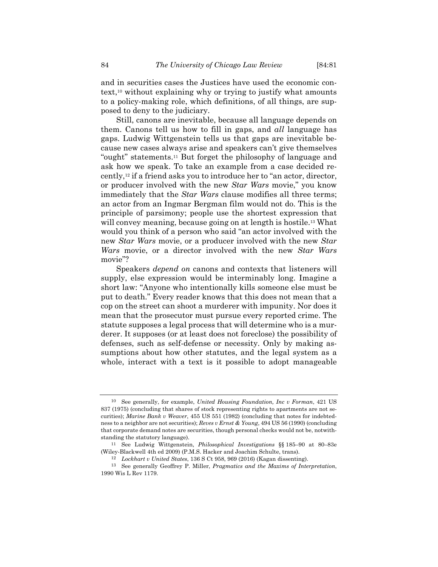and in securities cases the Justices have used the economic context,10 without explaining why or trying to justify what amounts to a policy-making role, which definitions, of all things, are supposed to deny to the judiciary.

Still, canons are inevitable, because all language depends on them. Canons tell us how to fill in gaps, and *all* language has gaps. Ludwig Wittgenstein tells us that gaps are inevitable because new cases always arise and speakers can't give themselves "ought" statements.11 But forget the philosophy of language and ask how we speak. To take an example from a case decided recently,12 if a friend asks you to introduce her to "an actor, director, or producer involved with the new *Star Wars* movie," you know immediately that the *Star Wars* clause modifies all three terms; an actor from an Ingmar Bergman film would not do. This is the principle of parsimony; people use the shortest expression that will convey meaning, because going on at length is hostile.<sup>13</sup> What would you think of a person who said "an actor involved with the new *Star Wars* movie, or a producer involved with the new *Star Wars* movie, or a director involved with the new *Star Wars* movie"?

Speakers *depend on* canons and contexts that listeners will supply, else expression would be interminably long. Imagine a short law: "Anyone who intentionally kills someone else must be put to death." Every reader knows that this does not mean that a cop on the street can shoot a murderer with impunity. Nor does it mean that the prosecutor must pursue every reported crime. The statute supposes a legal process that will determine who is a murderer. It supposes (or at least does not foreclose) the possibility of defenses, such as self-defense or necessity. Only by making assumptions about how other statutes, and the legal system as a whole, interact with a text is it possible to adopt manageable

<sup>10</sup> See generally, for example, *United Housing Foundation, Inc v Forman*, 421 US 837 (1975) (concluding that shares of stock representing rights to apartments are not securities); *Marine Bank v Weaver*, 455 US 551 (1982) (concluding that notes for indebtedness to a neighbor are not securities); *Reves v Ernst & Young*, 494 US 56 (1990) (concluding that corporate demand notes are securities, though personal checks would not be, notwithstanding the statutory language).

<sup>11</sup> See Ludwig Wittgenstein, *Philosophical Investigations* §§ 185–90 at 80–83e (Wiley-Blackwell 4th ed 2009) (P.M.S. Hacker and Joachim Schulte, trans).

<sup>12</sup> *Lockhart v United States*, 136 S Ct 958, 969 (2016) (Kagan dissenting).

<sup>13</sup> See generally Geoffrey P. Miller, *Pragmatics and the Maxims of Interpretation*, 1990 Wis L Rev 1179.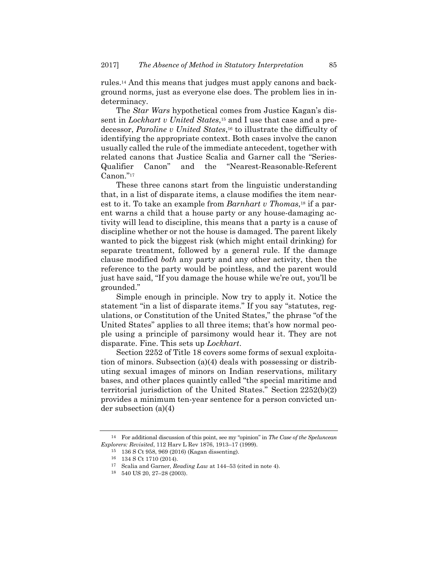rules.14 And this means that judges must apply canons and background norms, just as everyone else does. The problem lies in indeterminacy.

The *Star Wars* hypothetical comes from Justice Kagan's dissent in *Lockhart v United States*,15 and I use that case and a predecessor, *Paroline v United States*,16 to illustrate the difficulty of identifying the appropriate context. Both cases involve the canon usually called the rule of the immediate antecedent, together with related canons that Justice Scalia and Garner call the "Series-Qualifier Canon" and the "Nearest-Reasonable-Referent Canon."17

These three canons start from the linguistic understanding that, in a list of disparate items, a clause modifies the item nearest to it. To take an example from *Barnhart v Thomas*,18 if a parent warns a child that a house party or any house-damaging activity will lead to discipline, this means that a party is a cause of discipline whether or not the house is damaged. The parent likely wanted to pick the biggest risk (which might entail drinking) for separate treatment, followed by a general rule. If the damage clause modified *both* any party and any other activity, then the reference to the party would be pointless, and the parent would just have said, "If you damage the house while we're out, you'll be grounded."

Simple enough in principle. Now try to apply it. Notice the statement "in a list of disparate items." If you say "statutes, regulations, or Constitution of the United States," the phrase "of the United States" applies to all three items; that's how normal people using a principle of parsimony would hear it. They are not disparate. Fine. This sets up *Lockhart*.

Section 2252 of Title 18 covers some forms of sexual exploitation of minors. Subsection (a)(4) deals with possessing or distributing sexual images of minors on Indian reservations, military bases, and other places quaintly called "the special maritime and territorial jurisdiction of the United States." Section 2252(b)(2) provides a minimum ten-year sentence for a person convicted under subsection (a)(4)

<sup>14</sup> For additional discussion of this point, see my "opinion" in *The Case of the Speluncean Explorers: Revisited*, 112 Harv L Rev 1876, 1913–17 (1999).

<sup>15 136</sup> S Ct 958, 969 (2016) (Kagan dissenting).

<sup>16 134</sup> S Ct 1710 (2014).

<sup>17</sup> Scalia and Garner, *Reading Law* at 144–53 (cited in note 4). 18 540 US 20, 27–28 (2003).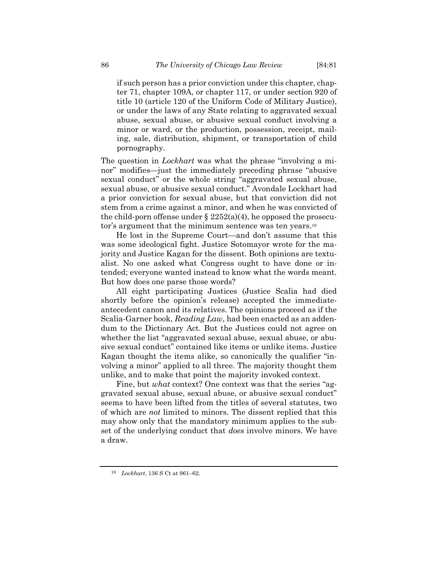if such person has a prior conviction under this chapter, chapter 71, chapter 109A, or chapter 117, or under section 920 of title 10 (article 120 of the Uniform Code of Military Justice), or under the laws of any State relating to aggravated sexual abuse, sexual abuse, or abusive sexual conduct involving a minor or ward, or the production, possession, receipt, mailing, sale, distribution, shipment, or transportation of child pornography.

The question in *Lockhart* was what the phrase "involving a minor" modifies—just the immediately preceding phrase "abusive sexual conduct" or the whole string "aggravated sexual abuse, sexual abuse, or abusive sexual conduct." Avondale Lockhart had a prior conviction for sexual abuse, but that conviction did not stem from a crime against a minor, and when he was convicted of the child-porn offense under  $\S 2252(a)(4)$ , he opposed the prosecutor's argument that the minimum sentence was ten years.19

He lost in the Supreme Court—and don't assume that this was some ideological fight. Justice Sotomayor wrote for the majority and Justice Kagan for the dissent. Both opinions are textualist. No one asked what Congress ought to have done or intended; everyone wanted instead to know what the words meant. But how does one parse those words?

All eight participating Justices (Justice Scalia had died shortly before the opinion's release) accepted the immediateantecedent canon and its relatives. The opinions proceed as if the Scalia-Garner book, *Reading Law*, had been enacted as an addendum to the Dictionary Act. But the Justices could not agree on whether the list "aggravated sexual abuse, sexual abuse, or abusive sexual conduct" contained like items or unlike items. Justice Kagan thought the items alike, so canonically the qualifier "involving a minor" applied to all three. The majority thought them unlike, and to make that point the majority invoked context.

Fine, but *what* context? One context was that the series "aggravated sexual abuse, sexual abuse, or abusive sexual conduct" seems to have been lifted from the titles of several statutes, two of which are *not* limited to minors. The dissent replied that this may show only that the mandatory minimum applies to the subset of the underlying conduct that *does* involve minors. We have a draw.

<sup>19</sup> *Lockhart*, 136 S Ct at 961–62.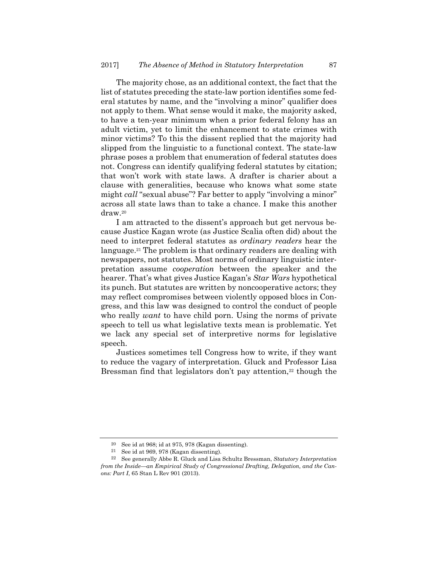The majority chose, as an additional context, the fact that the list of statutes preceding the state-law portion identifies some federal statutes by name, and the "involving a minor" qualifier does not apply to them. What sense would it make, the majority asked, to have a ten-year minimum when a prior federal felony has an adult victim, yet to limit the enhancement to state crimes with minor victims? To this the dissent replied that the majority had slipped from the linguistic to a functional context. The state-law phrase poses a problem that enumeration of federal statutes does not. Congress can identify qualifying federal statutes by citation; that won't work with state laws. A drafter is charier about a clause with generalities, because who knows what some state might *call* "sexual abuse"? Far better to apply "involving a minor" across all state laws than to take a chance. I make this another draw.20

I am attracted to the dissent's approach but get nervous because Justice Kagan wrote (as Justice Scalia often did) about the need to interpret federal statutes as *ordinary readers* hear the language.21 The problem is that ordinary readers are dealing with newspapers, not statutes. Most norms of ordinary linguistic interpretation assume *cooperation* between the speaker and the hearer. That's what gives Justice Kagan's *Star Wars* hypothetical its punch. But statutes are written by noncooperative actors; they may reflect compromises between violently opposed blocs in Congress, and this law was designed to control the conduct of people who really *want* to have child porn. Using the norms of private speech to tell us what legislative texts mean is problematic. Yet we lack any special set of interpretive norms for legislative speech.

Justices sometimes tell Congress how to write, if they want to reduce the vagary of interpretation. Gluck and Professor Lisa Bressman find that legislators don't pay attention,<sup>22</sup> though the

<sup>20</sup> See id at 968; id at 975, 978 (Kagan dissenting).

 $21$  See id at 969, 978 (Kagan dissenting).

<sup>22</sup> See generally Abbe R. Gluck and Lisa Schultz Bressman, *Statutory Interpretation from the Inside—an Empirical Study of Congressional Drafting, Delegation, and the Canons: Part I*, 65 Stan L Rev 901 (2013).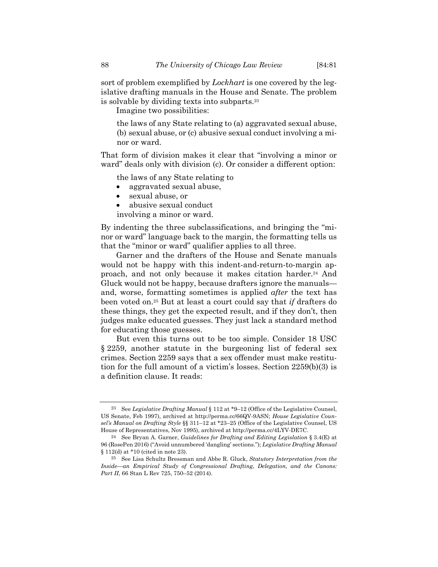sort of problem exemplified by *Lockhart* is one covered by the legislative drafting manuals in the House and Senate. The problem is solvable by dividing texts into subparts.23

Imagine two possibilities:

the laws of any State relating to (a) aggravated sexual abuse, (b) sexual abuse, or (c) abusive sexual conduct involving a minor or ward.

That form of division makes it clear that "involving a minor or ward" deals only with division (c). Or consider a different option:

the laws of any State relating to

- aggravated sexual abuse,
- sexual abuse, or
- abusive sexual conduct
- involving a minor or ward.

By indenting the three subclassifications, and bringing the "minor or ward" language back to the margin, the formatting tells us that the "minor or ward" qualifier applies to all three.

Garner and the drafters of the House and Senate manuals would not be happy with this indent-and-return-to-margin approach, and not only because it makes citation harder.24 And Gluck would not be happy, because drafters ignore the manuals and, worse, formatting sometimes is applied *after* the text has been voted on.25 But at least a court could say that *if* drafters do these things, they get the expected result, and if they don't, then judges make educated guesses. They just lack a standard method for educating those guesses.

But even this turns out to be too simple. Consider 18 USC § 2259, another statute in the burgeoning list of federal sex crimes. Section 2259 says that a sex offender must make restitution for the full amount of a victim's losses. Section 2259(b)(3) is a definition clause. It reads:

<sup>23</sup> See *Legislative Drafting Manual* § 112 at \*9–12 (Office of the Legislative Counsel, US Senate, Feb 1997), archived at http://perma.cc/66QV-9ASN; *House Legislative Counsel's Manual on Drafting Style* §§ 311–12 at \*23–25 (Office of the Legislative Counsel, US House of Representatives, Nov 1995), archived at http://perma.cc/4LYV-DE7C.

<sup>24</sup> See Bryan A. Garner, *Guidelines for Drafting and Editing Legislation* § 3.4(E) at 96 (RosePen 2016) ("Avoid unnumbered 'dangling' sections."); *Legislative Drafting Manual* § 112(d) at \*10 (cited in note 23).

<sup>25</sup> See Lisa Schultz Bressman and Abbe R. Gluck, *Statutory Interpretation from the Inside—an Empirical Study of Congressional Drafting, Delegation, and the Canons: Part II*, 66 Stan L Rev 725, 750–52 (2014).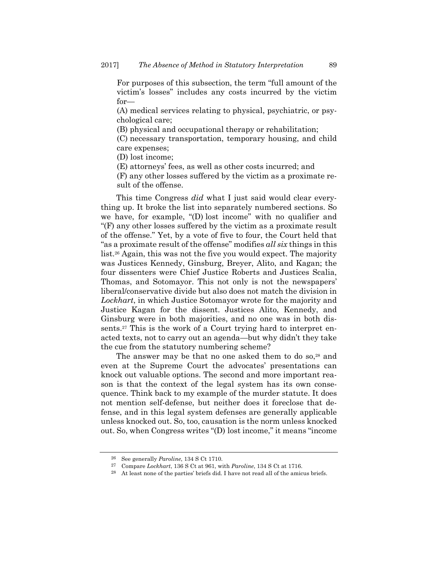For purposes of this subsection, the term "full amount of the victim's losses" includes any costs incurred by the victim for—

(A) medical services relating to physical, psychiatric, or psychological care;

(B) physical and occupational therapy or rehabilitation;

(C) necessary transportation, temporary housing, and child care expenses;

(D) lost income;

(E) attorneys' fees, as well as other costs incurred; and

(F) any other losses suffered by the victim as a proximate result of the offense.

This time Congress *did* what I just said would clear everything up. It broke the list into separately numbered sections. So we have, for example, "(D) lost income" with no qualifier and "(F) any other losses suffered by the victim as a proximate result of the offense." Yet, by a vote of five to four, the Court held that "as a proximate result of the offense" modifies *all six* things in this list.26 Again, this was not the five you would expect. The majority was Justices Kennedy, Ginsburg, Breyer, Alito, and Kagan; the four dissenters were Chief Justice Roberts and Justices Scalia, Thomas, and Sotomayor. This not only is not the newspapers' liberal/conservative divide but also does not match the division in *Lockhart*, in which Justice Sotomayor wrote for the majority and Justice Kagan for the dissent. Justices Alito, Kennedy, and Ginsburg were in both majorities, and no one was in both dissents.<sup>27</sup> This is the work of a Court trying hard to interpret enacted texts, not to carry out an agenda—but why didn't they take the cue from the statutory numbering scheme?

The answer may be that no one asked them to do so,<sup>28</sup> and even at the Supreme Court the advocates' presentations can knock out valuable options. The second and more important reason is that the context of the legal system has its own consequence. Think back to my example of the murder statute. It does not mention self-defense, but neither does it foreclose that defense, and in this legal system defenses are generally applicable unless knocked out. So, too, causation is the norm unless knocked out. So, when Congress writes "(D) lost income," it means "income

<sup>26</sup> See generally *Paroline*, 134 S Ct 1710.

<sup>&</sup>lt;sup>27</sup> Compare *Lockhart*, 136 S Ct at 961, with *Paroline*, 134 S Ct at 1716.<br><sup>28</sup> At least none of the parties' briefs did. I have not read all of the amicus briefs.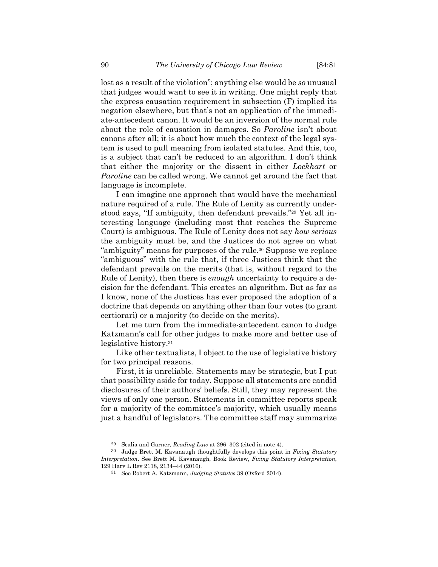lost as a result of the violation"; anything else would be *so* unusual that judges would want to see it in writing. One might reply that the express causation requirement in subsection (F) implied its negation elsewhere, but that's not an application of the immediate-antecedent canon. It would be an inversion of the normal rule about the role of causation in damages. So *Paroline* isn't about canons after all; it is about how much the context of the legal system is used to pull meaning from isolated statutes. And this, too, is a subject that can't be reduced to an algorithm. I don't think that either the majority or the dissent in either *Lockhart* or *Paroline* can be called wrong. We cannot get around the fact that language is incomplete.

I can imagine one approach that would have the mechanical nature required of a rule. The Rule of Lenity as currently understood says, "If ambiguity, then defendant prevails."29 Yet all interesting language (including most that reaches the Supreme Court) is ambiguous. The Rule of Lenity does not say *how serious* the ambiguity must be, and the Justices do not agree on what "ambiguity" means for purposes of the rule.30 Suppose we replace "ambiguous" with the rule that, if three Justices think that the defendant prevails on the merits (that is, without regard to the Rule of Lenity), then there is *enough* uncertainty to require a decision for the defendant. This creates an algorithm. But as far as I know, none of the Justices has ever proposed the adoption of a doctrine that depends on anything other than four votes (to grant certiorari) or a majority (to decide on the merits).

Let me turn from the immediate-antecedent canon to Judge Katzmann's call for other judges to make more and better use of legislative history.31

Like other textualists, I object to the use of legislative history for two principal reasons.

First, it is unreliable. Statements may be strategic, but I put that possibility aside for today. Suppose all statements are candid disclosures of their authors' beliefs. Still, they may represent the views of only one person. Statements in committee reports speak for a majority of the committee's majority, which usually means just a handful of legislators. The committee staff may summarize

<sup>29</sup> Scalia and Garner, *Reading Law* at 296–302 (cited in note 4).

<sup>30</sup> Judge Brett M. Kavanaugh thoughtfully develops this point in *Fixing Statutory Interpretation*. See Brett M. Kavanaugh, Book Review, *Fixing Statutory Interpretation*, 129 Harv L Rev 2118, 2134–44 (2016).

<sup>31</sup> See Robert A. Katzmann, *Judging Statutes* 39 (Oxford 2014).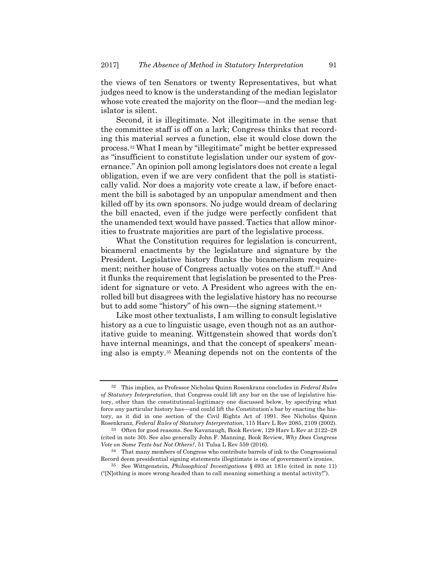the views of ten Senators or twenty Representatives, but what judges need to know is the understanding of the median legislator whose vote created the majority on the floor—and the median legislator is silent.

Second, it is illegitimate. Not illegitimate in the sense that the committee staff is off on a lark; Congress thinks that recording this material serves a function, else it would close down the process.32 What I mean by "illegitimate" might be better expressed as "insufficient to constitute legislation under our system of governance." An opinion poll among legislators does not create a legal obligation, even if we are very confident that the poll is statistically valid. Nor does a majority vote create a law, if before enactment the bill is sabotaged by an unpopular amendment and then killed off by its own sponsors. No judge would dream of declaring the bill enacted, even if the judge were perfectly confident that the unamended text would have passed. Tactics that allow minorities to frustrate majorities are part of the legislative process.

What the Constitution requires for legislation is concurrent, bicameral enactments by the legislature and signature by the President. Legislative history flunks the bicameralism requirement; neither house of Congress actually votes on the stuff.33 And it flunks the requirement that legislation be presented to the President for signature or veto. A President who agrees with the enrolled bill but disagrees with the legislative history has no recourse but to add some "history" of his own—the signing statement.34

Like most other textualists, I am willing to consult legislative history as a cue to linguistic usage, even though not as an authoritative guide to meaning. Wittgenstein showed that words don't have internal meanings, and that the concept of speakers' meaning also is empty.35 Meaning depends not on the contents of the

<sup>32</sup> This implies, as Professor Nicholas Quinn Rosenkranz concludes in *Federal Rules of Statutory Interpretation*, that Congress could lift any bar on the use of legislative history, other than the constitutional-legitimacy one discussed below, by specifying what force any particular history has—and could lift the Constitution's bar by enacting the history, as it did in one section of the Civil Rights Act of 1991. See Nicholas Quinn Rosenkranz, *Federal Rules of Statutory Interpretation*, 115 Harv L Rev 2085, 2109 (2002).

<sup>33</sup> Often for good reasons. See Kavanaugh, Book Review, 129 Harv L Rev at 2122–28 (cited in note 30). See also generally John F. Manning, Book Review, *Why Does Congress Vote on Some Texts but Not Others?*, 51 Tulsa L Rev 559 (2016).

<sup>34</sup> That many members of Congress who contribute barrels of ink to the Congressional Record deem presidential signing statements illegitimate is one of government's ironies.

<sup>35</sup> See Wittgenstein, *Philosophical Investigations* § 693 at 181e (cited in note 11) ("[N]othing is more wrong-headed than to call meaning something a mental activity!").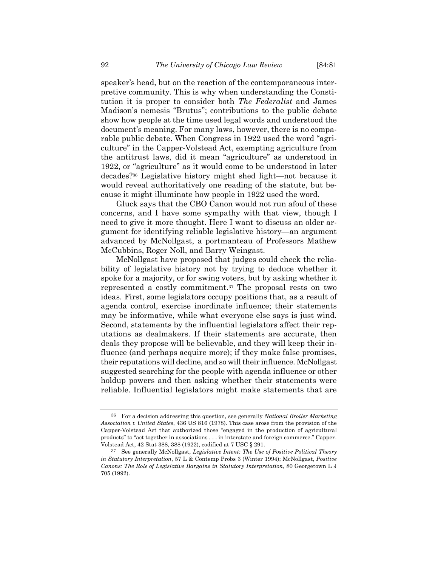speaker's head, but on the reaction of the contemporaneous interpretive community. This is why when understanding the Constitution it is proper to consider both *The Federalist* and James Madison's nemesis "Brutus"; contributions to the public debate show how people at the time used legal words and understood the document's meaning. For many laws, however, there is no comparable public debate. When Congress in 1922 used the word "agriculture" in the Capper-Volstead Act, exempting agriculture from the antitrust laws, did it mean "agriculture" as understood in 1922, or "agriculture" as it would come to be understood in later decades?36 Legislative history might shed light—not because it would reveal authoritatively one reading of the statute, but because it might illuminate how people in 1922 used the word.

Gluck says that the CBO Canon would not run afoul of these concerns, and I have some sympathy with that view, though I need to give it more thought. Here I want to discuss an older argument for identifying reliable legislative history—an argument advanced by McNollgast, a portmanteau of Professors Mathew McCubbins, Roger Noll, and Barry Weingast.

McNollgast have proposed that judges could check the reliability of legislative history not by trying to deduce whether it spoke for a majority, or for swing voters, but by asking whether it represented a costly commitment.37 The proposal rests on two ideas. First, some legislators occupy positions that, as a result of agenda control, exercise inordinate influence; their statements may be informative, while what everyone else says is just wind. Second, statements by the influential legislators affect their reputations as dealmakers. If their statements are accurate, then deals they propose will be believable, and they will keep their influence (and perhaps acquire more); if they make false promises, their reputations will decline, and so will their influence. McNollgast suggested searching for the people with agenda influence or other holdup powers and then asking whether their statements were reliable. Influential legislators might make statements that are

<sup>36</sup> For a decision addressing this question, see generally *National Broiler Marketing Association v United States*, 436 US 816 (1978). This case arose from the provision of the Capper-Volstead Act that authorized those "engaged in the production of agricultural products" to "act together in associations . . . in interstate and foreign commerce." Capper-Volstead Act, 42 Stat 388, 388 (1922), codified at 7 USC § 291.

<sup>37</sup> See generally McNollgast, *Legislative Intent: The Use of Positive Political Theory in Statutory Interpretation*, 57 L & Contemp Probs 3 (Winter 1994); McNollgast, *Positive Canons: The Role of Legislative Bargains in Statutory Interpretation*, 80 Georgetown L J 705 (1992).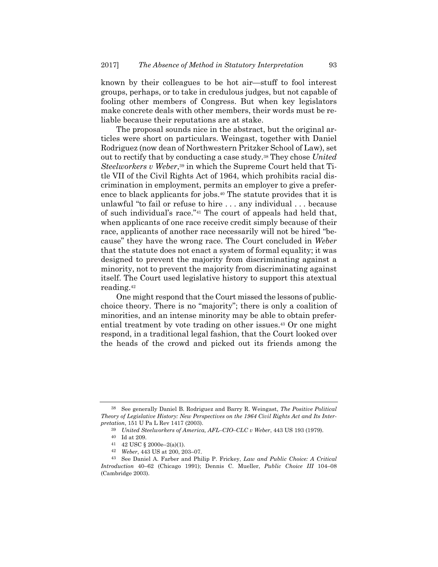known by their colleagues to be hot air—stuff to fool interest groups, perhaps, or to take in credulous judges, but not capable of fooling other members of Congress. But when key legislators make concrete deals with other members, their words must be reliable because their reputations are at stake.

The proposal sounds nice in the abstract, but the original articles were short on particulars. Weingast, together with Daniel Rodriguez (now dean of Northwestern Pritzker School of Law), set out to rectify that by conducting a case study.38 They chose *United Steelworkers v Weber*,39 in which the Supreme Court held that Title VII of the Civil Rights Act of 1964, which prohibits racial discrimination in employment, permits an employer to give a preference to black applicants for jobs.40 The statute provides that it is unlawful "to fail or refuse to hire . . . any individual . . . because of such individual's race."41 The court of appeals had held that, when applicants of one race receive credit simply because of their race, applicants of another race necessarily will not be hired "because" they have the wrong race. The Court concluded in *Weber* that the statute does not enact a system of formal equality; it was designed to prevent the majority from discriminating against a minority, not to prevent the majority from discriminating against itself. The Court used legislative history to support this atextual reading.42

One might respond that the Court missed the lessons of publicchoice theory. There is no "majority"; there is only a coalition of minorities, and an intense minority may be able to obtain preferential treatment by vote trading on other issues.43 Or one might respond, in a traditional legal fashion, that the Court looked over the heads of the crowd and picked out its friends among the

<sup>38</sup> See generally Daniel B. Rodriguez and Barry R. Weingast, *The Positive Political Theory of Legislative History: New Perspectives on the 1964 Civil Rights Act and Its Interpretation*, 151 U Pa L Rev 1417 (2003).

<sup>39</sup> *United Steelworkers of America, AFL–CIO–CLC v Weber*, 443 US 193 (1979).

 $^{40}\;$  Id at 209.

<sup>41 42</sup> USC § 2000e–2(a)(1).

<sup>42</sup> *Weber*, 443 US at 200, 203–07.

<sup>43</sup> See Daniel A. Farber and Philip P. Frickey, *Law and Public Choice: A Critical Introduction* 40–62 (Chicago 1991); Dennis C. Mueller, *Public Choice III* 104–08 (Cambridge 2003).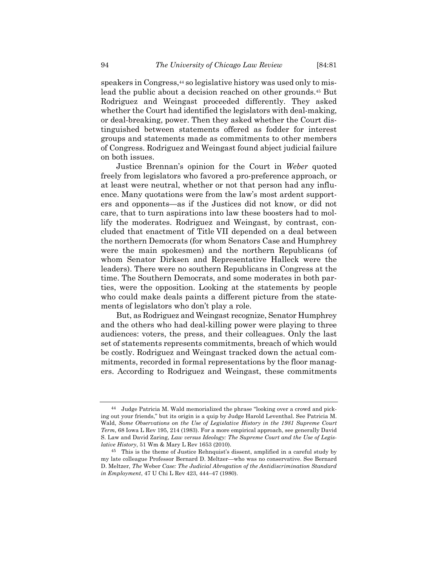speakers in Congress,<sup>44</sup> so legislative history was used only to mislead the public about a decision reached on other grounds.45 But Rodriguez and Weingast proceeded differently. They asked whether the Court had identified the legislators with deal-making, or deal-breaking, power. Then they asked whether the Court distinguished between statements offered as fodder for interest groups and statements made as commitments to other members of Congress. Rodriguez and Weingast found abject judicial failure on both issues.

Justice Brennan's opinion for the Court in *Weber* quoted freely from legislators who favored a pro-preference approach, or at least were neutral, whether or not that person had any influence. Many quotations were from the law's most ardent supporters and opponents—as if the Justices did not know, or did not care, that to turn aspirations into law these boosters had to mollify the moderates. Rodriguez and Weingast, by contrast, concluded that enactment of Title VII depended on a deal between the northern Democrats (for whom Senators Case and Humphrey were the main spokesmen) and the northern Republicans (of whom Senator Dirksen and Representative Halleck were the leaders). There were no southern Republicans in Congress at the time. The Southern Democrats, and some moderates in both parties, were the opposition. Looking at the statements by people who could make deals paints a different picture from the statements of legislators who don't play a role.

But, as Rodriguez and Weingast recognize, Senator Humphrey and the others who had deal-killing power were playing to three audiences: voters, the press, and their colleagues. Only the last set of statements represents commitments, breach of which would be costly. Rodriguez and Weingast tracked down the actual commitments, recorded in formal representations by the floor managers. According to Rodriguez and Weingast, these commitments

<sup>44</sup> Judge Patricia M. Wald memorialized the phrase "looking over a crowd and picking out your friends," but its origin is a quip by Judge Harold Leventhal. See Patricia M. Wald, *Some Observations on the Use of Legislative History in the 1981 Supreme Court Term*, 68 Iowa L Rev 195, 214 (1983). For a more empirical approach, see generally David S. Law and David Zaring, *Law versus Ideology: The Supreme Court and the Use of Legislative History*, 51 Wm & Mary L Rev 1653 (2010).

<sup>45</sup> This is the theme of Justice Rehnquist's dissent, amplified in a careful study by my late colleague Professor Bernard D. Meltzer—who was no conservative. See Bernard D. Meltzer, *The* Weber *Case: The Judicial Abrogation of the Antidiscrimination Standard in Employment*, 47 U Chi L Rev 423, 444–47 (1980).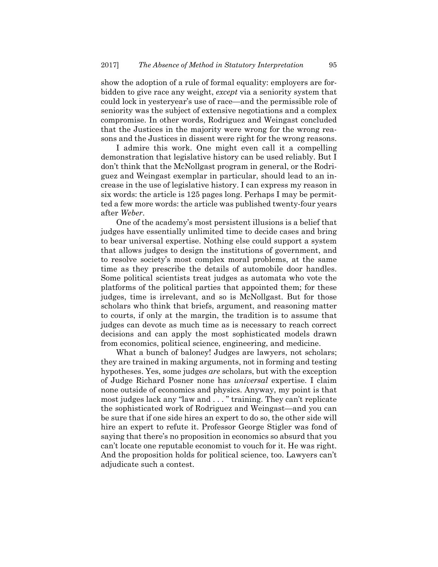show the adoption of a rule of formal equality: employers are forbidden to give race any weight, *except* via a seniority system that could lock in yesteryear's use of race—and the permissible role of seniority was the subject of extensive negotiations and a complex compromise. In other words, Rodriguez and Weingast concluded that the Justices in the majority were wrong for the wrong reasons and the Justices in dissent were right for the wrong reasons.

I admire this work. One might even call it a compelling demonstration that legislative history can be used reliably. But I don't think that the McNollgast program in general, or the Rodriguez and Weingast exemplar in particular, should lead to an increase in the use of legislative history. I can express my reason in six words: the article is 125 pages long. Perhaps I may be permitted a few more words: the article was published twenty-four years after *Weber*.

One of the academy's most persistent illusions is a belief that judges have essentially unlimited time to decide cases and bring to bear universal expertise. Nothing else could support a system that allows judges to design the institutions of government, and to resolve society's most complex moral problems, at the same time as they prescribe the details of automobile door handles. Some political scientists treat judges as automata who vote the platforms of the political parties that appointed them; for these judges, time is irrelevant, and so is McNollgast. But for those scholars who think that briefs, argument, and reasoning matter to courts, if only at the margin, the tradition is to assume that judges can devote as much time as is necessary to reach correct decisions and can apply the most sophisticated models drawn from economics, political science, engineering, and medicine.

What a bunch of baloney! Judges are lawyers, not scholars; they are trained in making arguments, not in forming and testing hypotheses. Yes, some judges *are* scholars, but with the exception of Judge Richard Posner none has *universal* expertise. I claim none outside of economics and physics. Anyway, my point is that most judges lack any "law and . . . " training. They can't replicate the sophisticated work of Rodriguez and Weingast—and you can be sure that if one side hires an expert to do so, the other side will hire an expert to refute it. Professor George Stigler was fond of saying that there's no proposition in economics so absurd that you can't locate one reputable economist to vouch for it. He was right. And the proposition holds for political science, too. Lawyers can't adjudicate such a contest.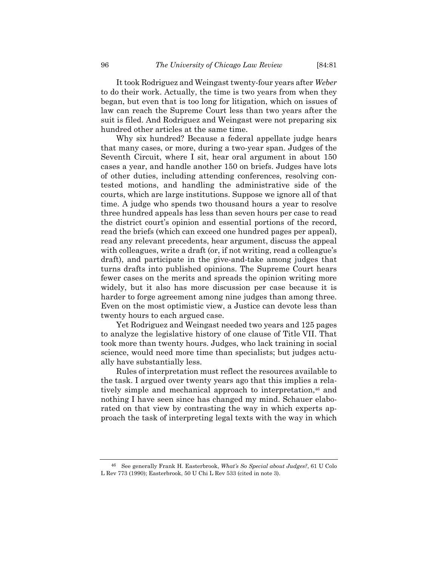It took Rodriguez and Weingast twenty-four years after *Weber* to do their work. Actually, the time is two years from when they began, but even that is too long for litigation, which on issues of law can reach the Supreme Court less than two years after the suit is filed. And Rodriguez and Weingast were not preparing six hundred other articles at the same time.

Why six hundred? Because a federal appellate judge hears that many cases, or more, during a two-year span. Judges of the Seventh Circuit, where I sit, hear oral argument in about 150 cases a year, and handle another 150 on briefs. Judges have lots of other duties, including attending conferences, resolving contested motions, and handling the administrative side of the courts, which are large institutions. Suppose we ignore all of that time. A judge who spends two thousand hours a year to resolve three hundred appeals has less than seven hours per case to read the district court's opinion and essential portions of the record, read the briefs (which can exceed one hundred pages per appeal), read any relevant precedents, hear argument, discuss the appeal with colleagues, write a draft (or, if not writing, read a colleague's draft), and participate in the give-and-take among judges that turns drafts into published opinions. The Supreme Court hears fewer cases on the merits and spreads the opinion writing more widely, but it also has more discussion per case because it is harder to forge agreement among nine judges than among three. Even on the most optimistic view, a Justice can devote less than twenty hours to each argued case.

Yet Rodriguez and Weingast needed two years and 125 pages to analyze the legislative history of one clause of Title VII. That took more than twenty hours. Judges, who lack training in social science, would need more time than specialists; but judges actually have substantially less.

Rules of interpretation must reflect the resources available to the task. I argued over twenty years ago that this implies a relatively simple and mechanical approach to interpretation,<sup>46</sup> and nothing I have seen since has changed my mind. Schauer elaborated on that view by contrasting the way in which experts approach the task of interpreting legal texts with the way in which

<sup>46</sup> See generally Frank H. Easterbrook, *What's So Special about Judges?*, 61 U Colo L Rev 773 (1990); Easterbrook, 50 U Chi L Rev 533 (cited in note 3).